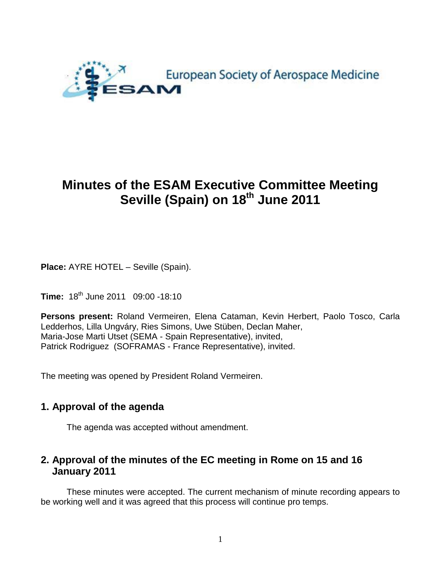

# **Minutes of the ESAM Executive Committee Meeting Seville (Spain) on 18th June 2011**

**Place:** AYRE HOTEL – Seville (Spain).

**Time:** 18th June 2011 09:00 -18:10

**Persons present:** Roland Vermeiren, Elena Cataman, Kevin Herbert, Paolo Tosco, Carla Ledderhos, Lilla Ungváry, Ries Simons, Uwe Stüben, Declan Maher, Maria-Jose Marti Utset (SEMA - Spain Representative), invited, Patrick Rodriguez (SOFRAMAS - France Representative), invited.

The meeting was opened by President Roland Vermeiren.

# **1. Approval of the agenda**

The agenda was accepted without amendment.

# **2. Approval of the minutes of the EC meeting in Rome on 15 and 16 January 2011**

These minutes were accepted. The current mechanism of minute recording appears to be working well and it was agreed that this process will continue pro temps.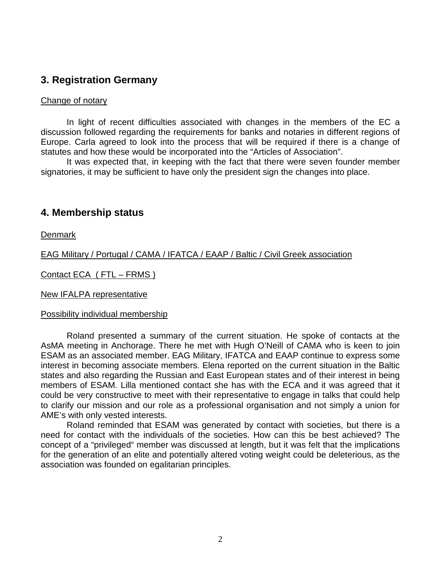# **3. Registration Germany**

#### Change of notary

In light of recent difficulties associated with changes in the members of the EC a discussion followed regarding the requirements for banks and notaries in different regions of Europe. Carla agreed to look into the process that will be required if there is a change of statutes and how these would be incorporated into the "Articles of Association".

It was expected that, in keeping with the fact that there were seven founder member signatories, it may be sufficient to have only the president sign the changes into place.

### **4. Membership status**

**Denmark** 

EAG Military / Portugal / CAMA / IFATCA / EAAP / Baltic / Civil Greek association

Contact ECA ( FTL – FRMS )

New IFALPA representative

#### Possibility individual membership

Roland presented a summary of the current situation. He spoke of contacts at the AsMA meeting in Anchorage. There he met with Hugh O'Neill of CAMA who is keen to join ESAM as an associated member. EAG Military, IFATCA and EAAP continue to express some interest in becoming associate members. Elena reported on the current situation in the Baltic states and also regarding the Russian and East European states and of their interest in being members of ESAM. Lilla mentioned contact she has with the ECA and it was agreed that it could be very constructive to meet with their representative to engage in talks that could help to clarify our mission and our role as a professional organisation and not simply a union for AME's with only vested interests.

Roland reminded that ESAM was generated by contact with societies, but there is a need for contact with the individuals of the societies. How can this be best achieved? The concept of a "privileged" member was discussed at length, but it was felt that the implications for the generation of an elite and potentially altered voting weight could be deleterious, as the association was founded on egalitarian principles.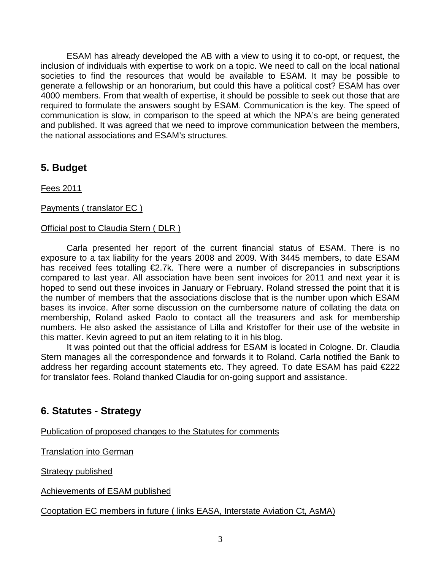ESAM has already developed the AB with a view to using it to co-opt, or request, the inclusion of individuals with expertise to work on a topic. We need to call on the local national societies to find the resources that would be available to ESAM. It may be possible to generate a fellowship or an honorarium, but could this have a political cost? ESAM has over 4000 members. From that wealth of expertise, it should be possible to seek out those that are required to formulate the answers sought by ESAM. Communication is the key. The speed of communication is slow, in comparison to the speed at which the NPA's are being generated and published. It was agreed that we need to improve communication between the members, the national associations and ESAM's structures.

# **5. Budget**

Fees 2011

### Payments ( translator EC )

### Official post to Claudia Stern ( DLR )

Carla presented her report of the current financial status of ESAM. There is no exposure to a tax liability for the years 2008 and 2009. With 3445 members, to date ESAM has received fees totalling €2.7k. There were a number of discrepancies in subscriptions compared to last year. All association have been sent invoices for 2011 and next year it is hoped to send out these invoices in January or February. Roland stressed the point that it is the number of members that the associations disclose that is the number upon which ESAM bases its invoice. After some discussion on the cumbersome nature of collating the data on membership, Roland asked Paolo to contact all the treasurers and ask for membership numbers. He also asked the assistance of Lilla and Kristoffer for their use of the website in this matter. Kevin agreed to put an item relating to it in his blog.

It was pointed out that the official address for ESAM is located in Cologne. Dr. Claudia Stern manages all the correspondence and forwards it to Roland. Carla notified the Bank to address her regarding account statements etc. They agreed. To date ESAM has paid €222 for translator fees. Roland thanked Claudia for on-going support and assistance.

# **6. Statutes - Strategy**

Publication of proposed changes to the Statutes for comments

Translation into German

Strategy published

Achievements of ESAM published

Cooptation EC members in future ( links EASA, Interstate Aviation Ct, AsMA)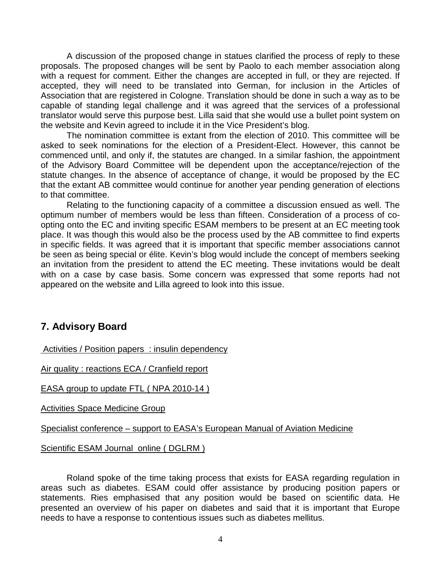A discussion of the proposed change in statues clarified the process of reply to these proposals. The proposed changes will be sent by Paolo to each member association along with a request for comment. Either the changes are accepted in full, or they are rejected. If accepted, they will need to be translated into German, for inclusion in the Articles of Association that are registered in Cologne. Translation should be done in such a way as to be capable of standing legal challenge and it was agreed that the services of a professional translator would serve this purpose best. Lilla said that she would use a bullet point system on the website and Kevin agreed to include it in the Vice President's blog.

The nomination committee is extant from the election of 2010. This committee will be asked to seek nominations for the election of a President-Elect. However, this cannot be commenced until, and only if, the statutes are changed. In a similar fashion, the appointment of the Advisory Board Committee will be dependent upon the acceptance/rejection of the statute changes. In the absence of acceptance of change, it would be proposed by the EC that the extant AB committee would continue for another year pending generation of elections to that committee.

Relating to the functioning capacity of a committee a discussion ensued as well. The optimum number of members would be less than fifteen. Consideration of a process of coopting onto the EC and inviting specific ESAM members to be present at an EC meeting took place. It was though this would also be the process used by the AB committee to find experts in specific fields. It was agreed that it is important that specific member associations cannot be seen as being special or élite. Kevin's blog would include the concept of members seeking an invitation from the president to attend the EC meeting. These invitations would be dealt with on a case by case basis. Some concern was expressed that some reports had not appeared on the website and Lilla agreed to look into this issue.

# **7. Advisory Board**

Activities / Position papers : insulin dependency

Air quality : reactions ECA / Cranfield report

EASA group to update FTL ( NPA 2010-14 )

Activities Space Medicine Group

Specialist conference – support to EASA's European Manual of Aviation Medicine

Scientific ESAM Journal online ( DGLRM )

Roland spoke of the time taking process that exists for EASA regarding regulation in areas such as diabetes. ESAM could offer assistance by producing position papers or statements. Ries emphasised that any position would be based on scientific data. He presented an overview of his paper on diabetes and said that it is important that Europe needs to have a response to contentious issues such as diabetes mellitus.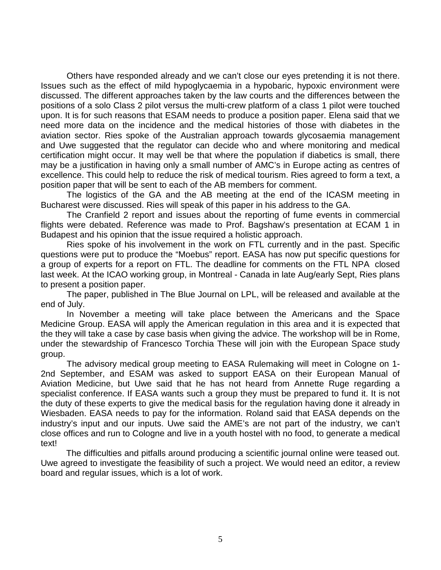Others have responded already and we can't close our eyes pretending it is not there. Issues such as the effect of mild hypoglycaemia in a hypobaric, hypoxic environment were discussed. The different approaches taken by the law courts and the differences between the positions of a solo Class 2 pilot versus the multi-crew platform of a class 1 pilot were touched upon. It is for such reasons that ESAM needs to produce a position paper. Elena said that we need more data on the incidence and the medical histories of those with diabetes in the aviation sector. Ries spoke of the Australian approach towards glycosaemia management and Uwe suggested that the regulator can decide who and where monitoring and medical certification might occur. It may well be that where the population if diabetics is small, there may be a justification in having only a small number of AMC's in Europe acting as centres of excellence. This could help to reduce the risk of medical tourism. Ries agreed to form a text, a position paper that will be sent to each of the AB members for comment.

The logistics of the GA and the AB meeting at the end of the ICASM meeting in Bucharest were discussed. Ries will speak of this paper in his address to the GA.

The Cranfield 2 report and issues about the reporting of fume events in commercial flights were debated. Reference was made to Prof. Bagshaw's presentation at ECAM 1 in Budapest and his opinion that the issue required a holistic approach.

Ries spoke of his involvement in the work on FTL currently and in the past. Specific questions were put to produce the "Moebus" report. EASA has now put specific questions for a group of experts for a report on FTL. The deadline for comments on the FTL NPA closed last week. At the ICAO working group, in Montreal - Canada in late Aug/early Sept, Ries plans to present a position paper.

The paper, published in The Blue Journal on LPL, will be released and available at the end of July.

In November a meeting will take place between the Americans and the Space Medicine Group. EASA will apply the American regulation in this area and it is expected that the they will take a case by case basis when giving the advice. The workshop will be in Rome, under the stewardship of Francesco Torchia These will join with the European Space study group.

The advisory medical group meeting to EASA Rulemaking will meet in Cologne on 1- 2nd September, and ESAM was asked to support EASA on their European Manual of Aviation Medicine, but Uwe said that he has not heard from Annette Ruge regarding a specialist conference. If EASA wants such a group they must be prepared to fund it. It is not the duty of these experts to give the medical basis for the regulation having done it already in Wiesbaden. EASA needs to pay for the information. Roland said that EASA depends on the industry's input and our inputs. Uwe said the AME's are not part of the industry, we can't close offices and run to Cologne and live in a youth hostel with no food, to generate a medical text!

The difficulties and pitfalls around producing a scientific journal online were teased out. Uwe agreed to investigate the feasibility of such a project. We would need an editor, a review board and regular issues, which is a lot of work.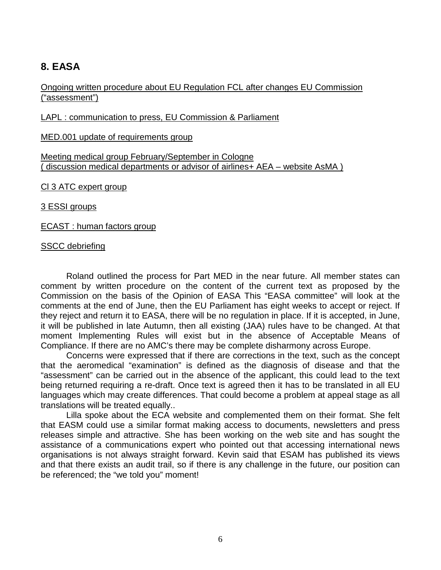# **8. EASA**

#### Ongoing written procedure about EU Regulation FCL after changes EU Commission ("assessment")

LAPL : communication to press, EU Commission & Parliament

MED.001 update of requirements group

Meeting medical group February/September in Cologne ( discussion medical departments or advisor of airlines+ AEA – website AsMA )

Cl 3 ATC expert group

3 ESSI groups

ECAST : human factors group

#### SSCC debriefing

Roland outlined the process for Part MED in the near future. All member states can comment by written procedure on the content of the current text as proposed by the Commission on the basis of the Opinion of EASA This "EASA committee" will look at the comments at the end of June, then the EU Parliament has eight weeks to accept or reject. If they reject and return it to EASA, there will be no regulation in place. If it is accepted, in June, it will be published in late Autumn, then all existing (JAA) rules have to be changed. At that moment Implementing Rules will exist but in the absence of Acceptable Means of Compliance. If there are no AMC's there may be complete disharmony across Europe.

Concerns were expressed that if there are corrections in the text, such as the concept that the aeromedical "examination" is defined as the diagnosis of disease and that the "assessment" can be carried out in the absence of the applicant, this could lead to the text being returned requiring a re-draft. Once text is agreed then it has to be translated in all EU languages which may create differences. That could become a problem at appeal stage as all translations will be treated equally..

Lilla spoke about the ECA website and complemented them on their format. She felt that EASM could use a similar format making access to documents, newsletters and press releases simple and attractive. She has been working on the web site and has sought the assistance of a communications expert who pointed out that accessing international news organisations is not always straight forward. Kevin said that ESAM has published its views and that there exists an audit trail, so if there is any challenge in the future, our position can be referenced; the "we told you" moment!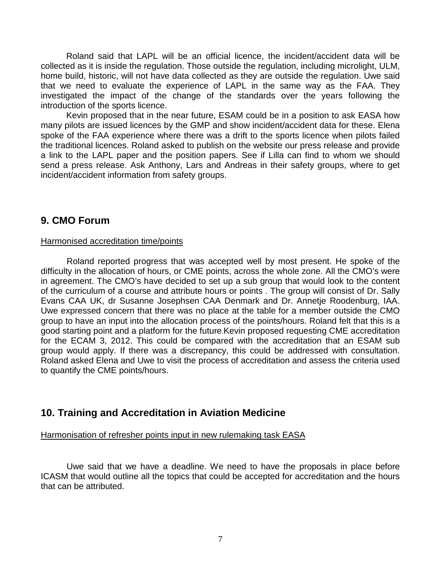Roland said that LAPL will be an official licence, the incident/accident data will be collected as it is inside the regulation. Those outside the regulation, including microlight, ULM, home build, historic, will not have data collected as they are outside the regulation. Uwe said that we need to evaluate the experience of LAPL in the same way as the FAA. They investigated the impact of the change of the standards over the years following the introduction of the sports licence.

Kevin proposed that in the near future, ESAM could be in a position to ask EASA how many pilots are issued licences by the GMP and show incident/accident data for these. Elena spoke of the FAA experience where there was a drift to the sports licence when pilots failed the traditional licences. Roland asked to publish on the website our press release and provide a link to the LAPL paper and the position papers. See if Lilla can find to whom we should send a press release. Ask Anthony, Lars and Andreas in their safety groups, where to get incident/accident information from safety groups.

### **9. CMO Forum**

#### Harmonised accreditation time/points

Roland reported progress that was accepted well by most present. He spoke of the difficulty in the allocation of hours, or CME points, across the whole zone. All the CMO's were in agreement. The CMO's have decided to set up a sub group that would look to the content of the curriculum of a course and attribute hours or points . The group will consist of Dr. Sally Evans CAA UK, dr Susanne Josephsen CAA Denmark and Dr. Annetje Roodenburg, IAA. Uwe expressed concern that there was no place at the table for a member outside the CMO group to have an input into the allocation process of the points/hours. Roland felt that this is a good starting point and a platform for the future.Kevin proposed requesting CME accreditation for the ECAM 3, 2012. This could be compared with the accreditation that an ESAM sub group would apply. If there was a discrepancy, this could be addressed with consultation. Roland asked Elena and Uwe to visit the process of accreditation and assess the criteria used to quantify the CME points/hours.

## **10. Training and Accreditation in Aviation Medicine**

#### Harmonisation of refresher points input in new rulemaking task EASA

Uwe said that we have a deadline. We need to have the proposals in place before ICASM that would outline all the topics that could be accepted for accreditation and the hours that can be attributed.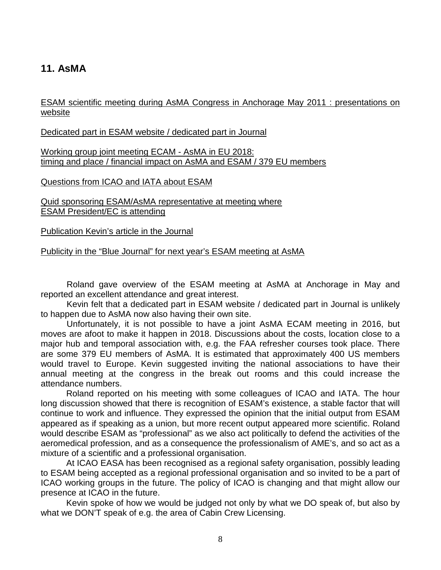# **11. AsMA**

ESAM scientific meeting during AsMA Congress in Anchorage May 2011 : presentations on website

Dedicated part in ESAM website / dedicated part in Journal

Working group joint meeting ECAM - AsMA in EU 2018: timing and place / financial impact on AsMA and ESAM / 379 EU members

Questions from ICAO and IATA about ESAM

Quid sponsoring ESAM/AsMA representative at meeting where ESAM President/EC is attending

Publication Kevin's article in the Journal

Publicity in the "Blue Journal" for next year's ESAM meeting at AsMA

Roland gave overview of the ESAM meeting at AsMA at Anchorage in May and reported an excellent attendance and great interest.

Kevin felt that a dedicated part in ESAM website / dedicated part in Journal is unlikely to happen due to AsMA now also having their own site.

Unfortunately, it is not possible to have a joint AsMA ECAM meeting in 2016, but moves are afoot to make it happen in 2018. Discussions about the costs, location close to a major hub and temporal association with, e.g. the FAA refresher courses took place. There are some 379 EU members of AsMA. It is estimated that approximately 400 US members would travel to Europe. Kevin suggested inviting the national associations to have their annual meeting at the congress in the break out rooms and this could increase the attendance numbers.

Roland reported on his meeting with some colleagues of ICAO and IATA. The hour long discussion showed that there is recognition of ESAM's existence, a stable factor that will continue to work and influence. They expressed the opinion that the initial output from ESAM appeared as if speaking as a union, but more recent output appeared more scientific. Roland would describe ESAM as "professional" as we also act politically to defend the activities of the aeromedical profession, and as a consequence the professionalism of AME's, and so act as a mixture of a scientific and a professional organisation.

At ICAO EASA has been recognised as a regional safety organisation, possibly leading to ESAM being accepted as a regional professional organisation and so invited to be a part of ICAO working groups in the future. The policy of ICAO is changing and that might allow our presence at ICAO in the future.

Kevin spoke of how we would be judged not only by what we DO speak of, but also by what we DON'T speak of e.g. the area of Cabin Crew Licensing.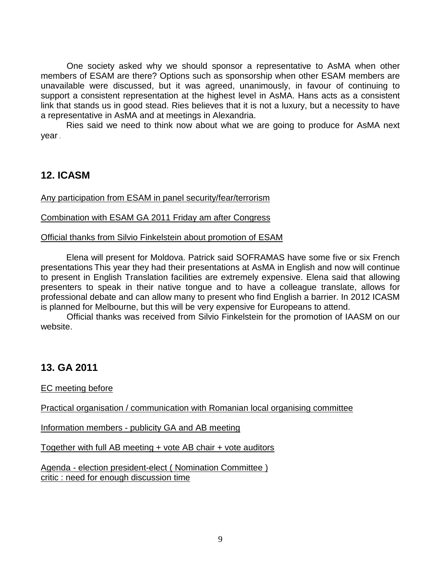One society asked why we should sponsor a representative to AsMA when other members of ESAM are there? Options such as sponsorship when other ESAM members are unavailable were discussed, but it was agreed, unanimously, in favour of continuing to support a consistent representation at the highest level in AsMA. Hans acts as a consistent link that stands us in good stead. Ries believes that it is not a luxury, but a necessity to have a representative in AsMA and at meetings in Alexandria.

Ries said we need to think now about what we are going to produce for AsMA next year .

## **12. ICASM**

Any participation from ESAM in panel security/fear/terrorism

Combination with ESAM GA 2011 Friday am after Congress

Official thanks from Silvio Finkelstein about promotion of ESAM

Elena will present for Moldova. Patrick said SOFRAMAS have some five or six French presentations This year they had their presentations at AsMA in English and now will continue to present in English Translation facilities are extremely expensive. Elena said that allowing presenters to speak in their native tongue and to have a colleague translate, allows for professional debate and can allow many to present who find English a barrier. In 2012 ICASM is planned for Melbourne, but this will be very expensive for Europeans to attend.

Official thanks was received from Silvio Finkelstein for the promotion of IAASM on our website.

# **13. GA 2011**

EC meeting before

Practical organisation / communication with Romanian local organising committee

Information members - publicity GA and AB meeting

Together with full AB meeting + vote AB chair + vote auditors

Agenda - election president-elect ( Nomination Committee ) critic : need for enough discussion time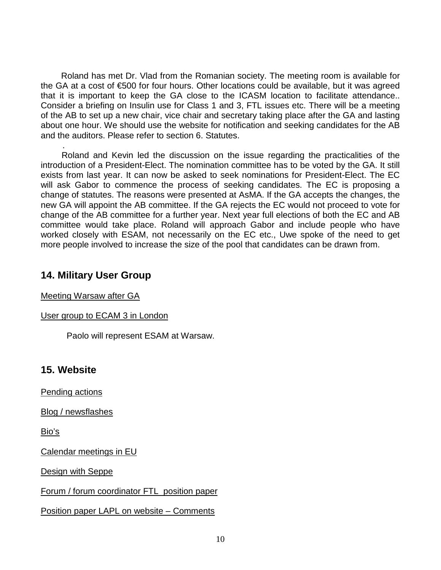Roland has met Dr. Vlad from the Romanian society. The meeting room is available for the GA at a cost of €500 for four hours. Other locations could be available, but it was agreed that it is important to keep the GA close to the ICASM location to facilitate attendance.. Consider a briefing on Insulin use for Class 1 and 3, FTL issues etc. There will be a meeting of the AB to set up a new chair, vice chair and secretary taking place after the GA and lasting about one hour. We should use the website for notification and seeking candidates for the AB and the auditors. Please refer to section 6. Statutes.

 . Roland and Kevin led the discussion on the issue regarding the practicalities of the introduction of a President-Elect. The nomination committee has to be voted by the GA. It still exists from last year. It can now be asked to seek nominations for President-Elect. The EC will ask Gabor to commence the process of seeking candidates. The EC is proposing a change of statutes. The reasons were presented at AsMA. If the GA accepts the changes, the new GA will appoint the AB committee. If the GA rejects the EC would not proceed to vote for change of the AB committee for a further year. Next year full elections of both the EC and AB committee would take place. Roland will approach Gabor and include people who have worked closely with ESAM, not necessarily on the EC etc., Uwe spoke of the need to get more people involved to increase the size of the pool that candidates can be drawn from.

## **14. Military User Group**

Meeting Warsaw after GA

### User group to ECAM 3 in London

Paolo will represent ESAM at Warsaw.

# **15. Website**

Pending actions

Blog / newsflashes

Bio's

Calendar meetings in EU

Design with Seppe

Forum / forum coordinator FTL position paper

Position paper LAPL on website – Comments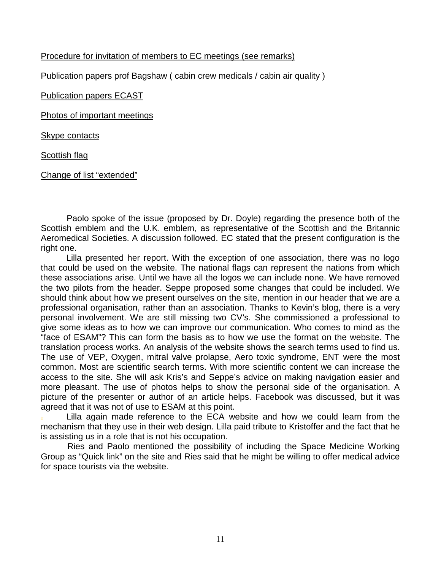### Procedure for invitation of members to EC meetings (see remarks)

Publication papers prof Bagshaw ( cabin crew medicals / cabin air quality )

Publication papers ECAST

Photos of important meetings

Skype contacts

Scottish flag

Change of list "extended"

Paolo spoke of the issue (proposed by Dr. Doyle) regarding the presence both of the Scottish emblem and the U.K. emblem, as representative of the Scottish and the Britannic Aeromedical Societies. A discussion followed. EC stated that the present configuration is the right one.

Lilla presented her report. With the exception of one association, there was no logo that could be used on the website. The national flags can represent the nations from which these associations arise. Until we have all the logos we can include none. We have removed the two pilots from the header. Seppe proposed some changes that could be included. We should think about how we present ourselves on the site, mention in our header that we are a professional organisation, rather than an association. Thanks to Kevin's blog, there is a very personal involvement. We are still missing two CV's. She commissioned a professional to give some ideas as to how we can improve our communication. Who comes to mind as the "face of ESAM"? This can form the basis as to how we use the format on the website. The translation process works. An analysis of the website shows the search terms used to find us. The use of VEP, Oxygen, mitral valve prolapse, Aero toxic syndrome, ENT were the most common. Most are scientific search terms. With more scientific content we can increase the access to the site. She will ask Kris's and Seppe's advice on making navigation easier and more pleasant. The use of photos helps to show the personal side of the organisation. A picture of the presenter or author of an article helps. Facebook was discussed, but it was agreed that it was not of use to ESAM at this point.

Lilla again made reference to the ECA website and how we could learn from the mechanism that they use in their web design. Lilla paid tribute to Kristoffer and the fact that he is assisting us in a role that is not his occupation.

 Ries and Paolo mentioned the possibility of including the Space Medicine Working Group as "Quick link" on the site and Ries said that he might be willing to offer medical advice for space tourists via the website.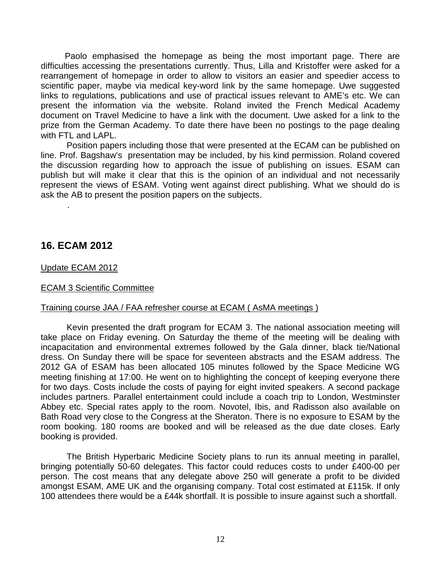Paolo emphasised the homepage as being the most important page. There are difficulties accessing the presentations currently. Thus, Lilla and Kristoffer were asked for a rearrangement of homepage in order to allow to visitors an easier and speedier access to scientific paper, maybe via medical key-word link by the same homepage. Uwe suggested links to regulations, publications and use of practical issues relevant to AME's etc. We can present the information via the website. Roland invited the French Medical Academy document on Travel Medicine to have a link with the document. Uwe asked for a link to the prize from the German Academy. To date there have been no postings to the page dealing with FTL and LAPL.

Position papers including those that were presented at the ECAM can be published on line. Prof. Bagshaw's presentation may be included, by his kind permission. Roland covered the discussion regarding how to approach the issue of publishing on issues. ESAM can publish but will make it clear that this is the opinion of an individual and not necessarily represent the views of ESAM. Voting went against direct publishing. What we should do is ask the AB to present the position papers on the subjects.

### **16. ECAM 2012**

.

#### Update ECAM 2012

#### ECAM 3 Scientific Committee

#### Training course JAA / FAA refresher course at ECAM ( AsMA meetings )

Kevin presented the draft program for ECAM 3. The national association meeting will take place on Friday evening. On Saturday the theme of the meeting will be dealing with incapacitation and environmental extremes followed by the Gala dinner, black tie/National dress. On Sunday there will be space for seventeen abstracts and the ESAM address. The 2012 GA of ESAM has been allocated 105 minutes followed by the Space Medicine WG meeting finishing at 17:00. He went on to highlighting the concept of keeping everyone there for two days. Costs include the costs of paying for eight invited speakers. A second package includes partners. Parallel entertainment could include a coach trip to London, Westminster Abbey etc. Special rates apply to the room. Novotel, Ibis, and Radisson also available on Bath Road very close to the Congress at the Sheraton. There is no exposure to ESAM by the room booking. 180 rooms are booked and will be released as the due date closes. Early booking is provided.

The British Hyperbaric Medicine Society plans to run its annual meeting in parallel, bringing potentially 50-60 delegates. This factor could reduces costs to under £400-00 per person. The cost means that any delegate above 250 will generate a profit to be divided amongst ESAM, AME UK and the organising company. Total cost estimated at £115k. If only 100 attendees there would be a £44k shortfall. It is possible to insure against such a shortfall.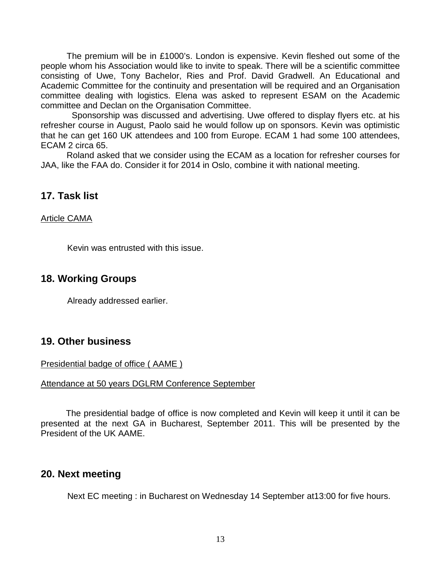The premium will be in £1000's. London is expensive. Kevin fleshed out some of the people whom his Association would like to invite to speak. There will be a scientific committee consisting of Uwe, Tony Bachelor, Ries and Prof. David Gradwell. An Educational and Academic Committee for the continuity and presentation will be required and an Organisation committee dealing with logistics. Elena was asked to represent ESAM on the Academic committee and Declan on the Organisation Committee.

Sponsorship was discussed and advertising. Uwe offered to display flyers etc. at his refresher course in August, Paolo said he would follow up on sponsors. Kevin was optimistic that he can get 160 UK attendees and 100 from Europe. ECAM 1 had some 100 attendees, ECAM 2 circa 65.

Roland asked that we consider using the ECAM as a location for refresher courses for JAA, like the FAA do. Consider it for 2014 in Oslo, combine it with national meeting.

### **17. Task list**

#### Article CAMA

Kevin was entrusted with this issue.

### **18. Working Groups**

Already addressed earlier.

### **19. Other business**

#### Presidential badge of office ( AAME )

#### Attendance at 50 years DGLRM Conference September

 The presidential badge of office is now completed and Kevin will keep it until it can be presented at the next GA in Bucharest, September 2011. This will be presented by the President of the UK AAME.

# **20. Next meeting**

Next EC meeting : in Bucharest on Wednesday 14 September at13:00 for five hours.